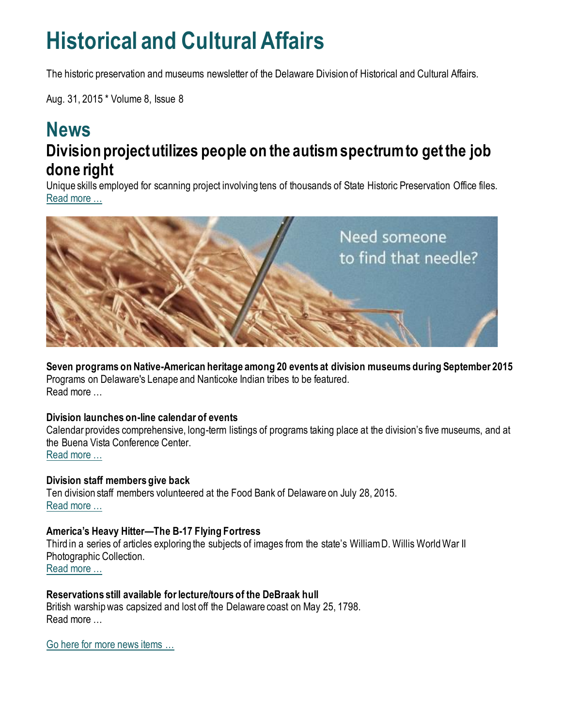## **Historical and Cultural Affairs**

The historic preservation and museums newsletter of the Delaware Division of Historical and Cultural Affairs.

Aug. 31, 2015 \* Volume 8, Issue 8

### **News Division project utilizes people on the autism spectrum to get the job done right**

Unique skills employed for scanning project involving tens of thousands of State Historic Preservation Office files. [Read more …](http://history.blogs.delaware.gov/2015/08/28/division-project-utilizes-people-on-the-autism-spectrum-to-get-the-job-done-right/)



**Seven programs on Native-American heritage among 20 events at division museums during September 2015** Programs on Delaware's Lenape and Nanticoke Indian tribes to be featured. Read more

#### **Division launches on-line calendar of events**

Calendar provides comprehensive, long-term listings of programs taking place at the division's five museums, and at the Buena Vista Conference Center. [Read more …](http://history.blogs.delaware.gov/2015/08/14/division-launches-on-line-calendar-of-events/)

**Division staff members give back** Ten division staff members volunteered at the Food Bank of Delaware on July 28, 2015. [Read more …](http://history.blogs.delaware.gov/2015/07/31/division-staff-members-give-back/)

#### **America's Heavy Hitter—The B-17 Flying Fortress**

Third in a series of articles exploring the subjects of images from the state's William D. Willis World War II Photographic Collection. [Read more …](http://history.blogs.delaware.gov/2015/08/11/americas-heavy-hitter-the-b-17-flying-fortress/)

**Reservations still available for lecture/tours of the DeBraak hull**

British warship was capsized and lost off the Delaware coast on May 25, 1798. Read more …

[Go here for more news items …](http://history.blogs.delaware.gov/)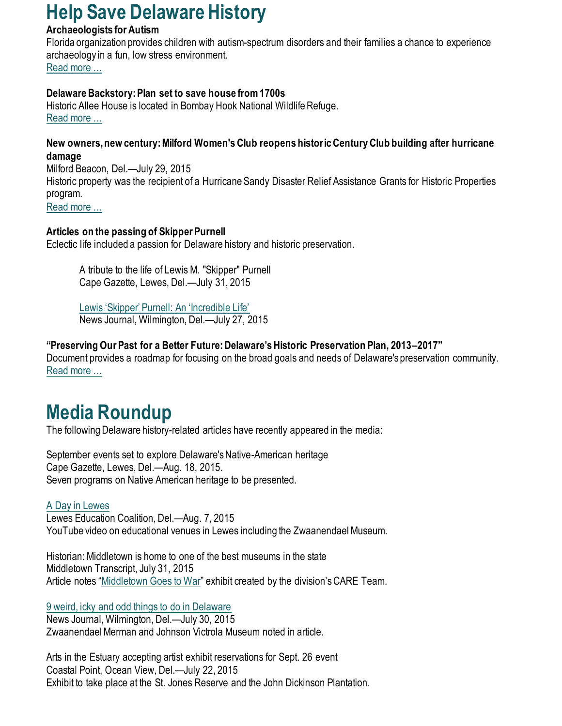## **Help Save Delaware History**

#### **Archaeologists for Autism**

Florida organization provides children with autism-spectrum disorders and their families a chance to experience archaeology in a fun, low stress environment. [Read more …](http://archaeologistsforautism.org/index.html)

#### **Delaware Backstory: Plan set to save house from 1700s**

Historic Allee House is located in Bombay Hook National Wildlife Refuge. [Read more …](http://www.delawareonline.com/story/news/local/2015/08/30/delaware-backstory-plan-set-save-house/71436666/)

#### **New owners, new century: Milford Women's Club reopens historic Century Club building after hurricane damage**

Milford Beacon, Del.—July 29, 2015 Historic property was the recipient of a Hurricane Sandy Disaster Relief Assistance Grants for Historic Properties program. [Read more …](http://www.milfordbeacon.com/article/20150729/NEWS/150729823/?Start=1)

#### **Articles on the passing of Skipper Purnell**

Eclectic life included a passion for Delaware history and historic preservation.

A tribute to the life of Lewis M. "Skipper" Purnell Cape Gazette, Lewes, Del.—July 31, 2015

[Lewis 'Skipper' Purnell: An 'Incredible Life'](http://www.delawareonline.com/story/news/local/2015/07/27/lewis-skipper-purnell-incredible-life/30744665/) News Journal, Wilmington, Del.—July 27, 2015

#### **"Preserving Our Past for a Better Future: Delaware's Historic Preservation Plan, 2013–2017"**

Document provides a roadmap for focusing on the broad goals and needs of Delaware's preservation community. [Read more …](https://history.delaware.gov/wp-content/uploads/sites/179/2019/02/Preservation-Plan-2013-2017.pdf)

## **Media Roundup**

The following Delaware history-related articles have recently appeared in the media:

September events set to explore Delaware's Native-American heritage Cape Gazette, Lewes, Del.—Aug. 18, 2015. Seven programs on Native American heritage to be presented.

#### [A Day in Lewes](https://www.youtube.com/watch?v=izv0IZ5nUzg&feature=youtu.be) Lewes Education Coalition, Del.—Aug. 7, 2015

YouTube video on educational venues in Lewes including the Zwaanendael Museum.

Historian: Middletown is home to one of the best museums in the state Middletown Transcript, July 31, 2015 Article notes "[Middletown Goes to War](http://history.blogs.delaware.gov/2014/07/01/middletown-goes-to-war-exhibit-at-the-middletown-historical-society/)" exhibit created by the division's CARE Team.

#### [9 weird, icky and odd things to do in Delaware](http://www.delawareonline.com/story/life/2015/07/29/weird-icky-odd-things-delaware/30827533/)

News Journal, Wilmington, Del.—July 30, 2015 Zwaanendael Merman and Johnson Victrola Museum noted in article.

Arts in the Estuary accepting artist exhibit reservations for Sept. 26 event Coastal Point, Ocean View, Del.—July 22, 2015 Exhibit to take place at the St. Jones Reserve and the John Dickinson Plantation.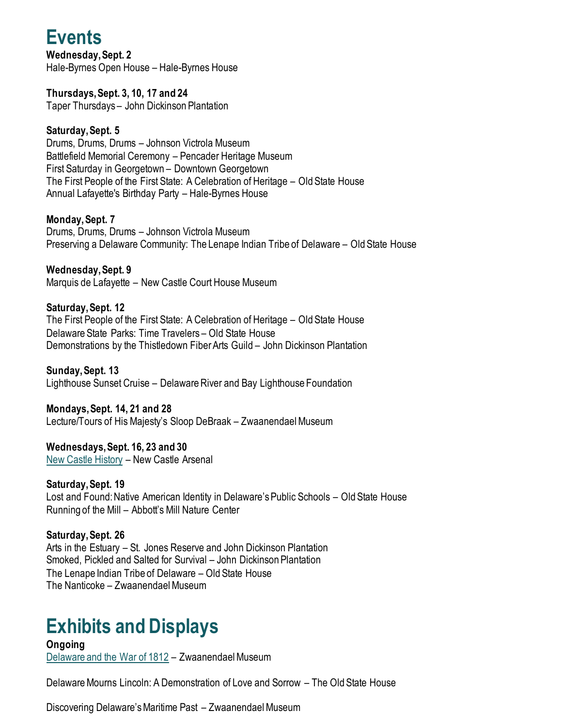## **Events**

**Wednesday, Sept. 2** Hale-Byrnes Open House – Hale-Byrnes House

**Thursdays, Sept. 3, 10, 17 and 24** Taper Thursdays – John Dickinson Plantation

#### **Saturday, Sept. 5**

Drums, Drums, Drums – Johnson Victrola Museum Battlefield Memorial Ceremony – Pencader Heritage Museum First Saturday in Georgetown – Downtown Georgetown The First People of the First State: A Celebration of Heritage – Old State House Annual Lafayette's Birthday Party – Hale-Byrnes House

**Monday, Sept. 7**

Drums, Drums, Drums – Johnson Victrola Museum Preserving a Delaware Community: The Lenape Indian Tribe of Delaware – Old State House

**Wednesday, Sept. 9** Marquis de Lafayette – New Castle Court House Museum

**Saturday, Sept. 12**

The First People of the First State: A Celebration of Heritage – Old State House Delaware State Parks: Time Travelers – Old State House Demonstrations by the Thistledown Fiber Arts Guild – John Dickinson Plantation

**Sunday, Sept. 13** Lighthouse Sunset Cruise – Delaware River and Bay Lighthouse Foundation

**Mondays, Sept. 14, 21 and 28**

Lecture/Tours of His Majesty's Sloop DeBraak – Zwaanendael Museum

**Wednesdays, Sept. 16, 23 and 30** [New Castle History](http://nc-chap.org/syllabus/nchs/) – New Castle Arsenal

**Saturday, Sept. 19** Lost and Found: Native American Identity in Delaware's Public Schools – Old State House Running of the Mill – Abbott's Mill Nature Center

**Saturday, Sept. 26** Arts in the Estuary – St. Jones Reserve and John Dickinson Plantation Smoked, Pickled and Salted for Survival – John Dickinson Plantation The Lenape Indian Tribe of Delaware – Old State House The Nanticoke – Zwaanendael Museum

## **Exhibits and Displays**

**Ongoing** [Delaware and the War of 1812](https://history.delaware.gov/2014/09/10/zwaanendael-museum-features-exhibit-delaware-and-the-war-of-1812/) – Zwaanendael Museum

Delaware Mourns Lincoln: A Demonstration of Love and Sorrow – The Old State House

Discovering Delaware's Maritime Past – Zwaanendael Museum